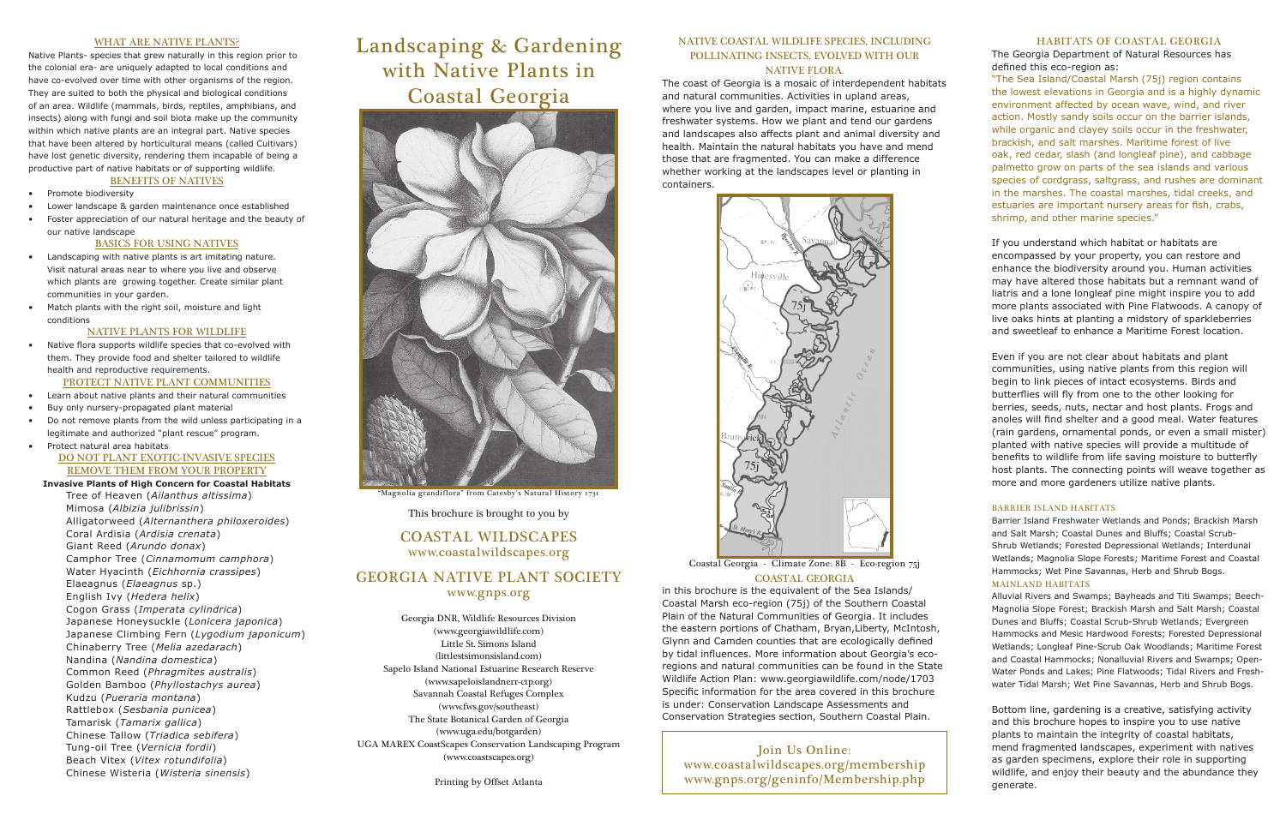# Landscaping & Gardening with Native Plants in Coastal Georgia

### NATIVE COASTAL WILDLIFE SPECIES, INCLUDING POLLINATING INSECTS, EVOLVED WITH OUR NATIVE FLORA.

The coast of Georgia is a mosaic of interdependent habitats and natural communities. Activities in upland areas, where you live and garden, impact marine, estuarine and freshwater systems. How we plant and tend our gardens and landscapes also affects plant and animal diversity and health. Maintain the natural habitats you have and mend those that are fragmented. You can make a difference whether working at the landscapes level or planting in containers.



#### HABITATS OF COASTAL GEORGIA

The Georgia Department of Natural Resources has defined this eco-region as:

"The Sea Island/Coastal Marsh (75j) region contains the lowest elevations in Georgia and is a highly dynamic environment affected by ocean wave, wind, and river action. Mostly sandy soils occur on the barrier islands, while organic and clayey soils occur in the freshwater, brackish, and salt marshes. Maritime forest of live oak, red cedar, slash (and longleaf pine), and cabbage palmetto grow on parts of the sea islands and various species of cordgrass, saltgrass, and rushes are dominant in the marshes. The coastal marshes, tidal creeks, and estuaries are important nursery areas for fish, crabs, shrimp, and other marine species."

If you understand which habitat or habitats are encompassed by your property, you can restore and enhance the biodiversity around you. Human activities may have altered those habitats but a remnant wand of liatris and a lone longleaf pine might inspire you to add more plants associated with Pine Flatwoods. A canopy of live oaks hints at planting a midstory of sparkleberries and sweetleaf to enhance a Maritime Forest location.

Even if you are not clear about habitats and plant communities, using native plants from this region will begin to link pieces of intact ecosystems. Birds and butterflies will fly from one to the other looking for berries, seeds, nuts, nectar and host plants. Frogs and anoles will find shelter and a good meal. Water features (rain gardens, ornamental ponds, or even a small mister) planted with native species will provide a multitude of benefits to wildlife from life saving moisture to butterfly host plants. The connecting points will weave together as more and more gardeners utilize native plants.

#### BARRIER ISLAND HABITATS

Barrier Island Freshwater Wetlands and Ponds; Brackish Marsh and Salt Marsh; Coastal Dunes and Bluffs; Coastal Scrub-Shrub Wetlands; Forested Depressional Wetlands; Interdunal Wetlands; Magnolia Slope Forests; Maritime Forest and Coastal Hammocks; Wet Pine Savannas, Herb and Shrub Bogs. MAINLAND HABITATS

Alluvial Rivers and Swamps; Bayheads and Titi Swamps; Beech-Magnolia Slope Forest; Brackish Marsh and Salt Marsh; Coastal Dunes and Bluffs; Coastal Scrub-Shrub Wetlands; Evergreen Hammocks and Mesic Hardwood Forests; Forested Depressional Wetlands; Longleaf Pine-Scrub Oak Woodlands; Maritime Forest and Coastal Hammocks; Nonalluvial Rivers and Swamps; Open-Water Ponds and Lakes; Pine Flatwoods; Tidal Rivers and Freshwater Tidal Marsh; Wet Pine Savannas, Herb and Shrub Bogs.

Bottom line, gardening is a creative, satisfying activity and this brochure hopes to inspire you to use native plants to maintain the integrity of coastal habitats, mend fragmented landscapes, experiment with natives as garden specimens, explore their role in supporting wildlife, and enjoy their beauty and the abundance they generate.

in this brochure is the equivalent of the Sea Islands/ Coastal Marsh eco-region (75j) of the Southern Coastal Plain of the Natural Communities of Georgia. It includes the eastern portions of Chatham, Bryan,Liberty, McIntosh, Glynn and Camden counties that are ecologically defined by tidal influences. More information about Georgia's ecoregions and natural communities can be found in the State Wildlife Action Plan: www.georgiawildlife.com/node/1703 Specific information for the area covered in this brochure is under: Conservation Landscape Assessments and Conservation Strategies section, Southern Coastal Plain.

COASTAL GEORGIA Coastal Georgia - Climate Zone: 8B - Eco-region 75j

This brochure is brought to you by

COASTAL WILDSCAPES www.coastalwildscapes.org

# GEORGIA NATIVE PLANT SOCIETY www.gnps.org

Georgia DNR, Wildlife Resources Division (www.georgiawildlife.com) Little St. Simons Island (littlestsimonsisland.com) Sapelo Island National Estuarine Research Reserve (www.sapeloislandnerr-ctp.org) Savannah Coastal Refuges Complex (www.fws.gov/southeast) The State Botanical Garden of Georgia (www.uga.edu/botgarden) UGA MAREX CoastScapes Conservation Landscaping Program (www.coastscapes.org)

Printing by Offset Atlanta

#### WHAT ARE NATIVE PLANTS?

Native Plants- species that grew naturally in this region prior to the colonial era- are uniquely adapted to local conditions and have co-evolved over time with other organisms of the region. They are suited to both the physical and biological conditions of an area. Wildlife (mammals, birds, reptiles, amphibians, and insects) along with fungi and soil biota make up the community within which native plants are an integral part. Native species that have been altered by horticultural means (called Cultivars) have lost genetic diversity, rendering them incapable of being a productive part of native habitats or of supporting wildlife. BENEFITS OF NATIVES

- Promote biodiversity
- Lower landscape & garden maintenance once established
- Foster appreciation of our natural heritage and the beauty of our native landscape

#### BASICS FOR USING NATIVES

- Landscaping with native plants is art imitating nature. Visit natural areas near to where you live and observe which plants are growing together. Create similar plant communities in your garden.
- Match plants with the right soil, moisture and light conditions

#### NATIVE PLANTS FOR WILDLIFE

- Native flora supports wildlife species that co-evolved with them. They provide food and shelter tailored to wildlife health and reproductive requirements.
- PROTECT NATIVE PLANT COMMUNITIES • Learn about native plants and their natural communities
- Buy only nursery-propagated plant material
- 
- Do not remove plants from the wild unless participating in a legitimate and authorized "plant rescue" program.
- Protect natural area habitats

#### DO NOT PLANT EXOTIC-INVASIVE SPECIES REMOVE THEM FROM YOUR PROPERTY

#### **Invasive Plants of High Concern for Coastal Habitats**

 Tree of Heaven (*Ailanthus altissima*) Mimosa (*Albizia julibrissin*) Alligatorweed (*Alternanthera philoxeroides*) Coral Ardisia (*Ardisia crenata*) Giant Reed (*Arundo donax*) Camphor Tree (*Cinnamomum camphora*) Water Hyacinth (*Eichhornia crassipes*) Elaeagnus (*Elaeagnus* sp.) English Ivy (*Hedera helix*) Cogon Grass (*Imperata cylindrica*) Japanese Honeysuckle (*Lonicera japonica*) Japanese Climbing Fern (*Lygodium japonicum*) Chinaberry Tree (*Melia azedarach*) Nandina (*Nandina domestica*) Common Reed (*Phragmites australis*) Golden Bamboo (*Phyllostachys aurea*) Kudzu (*Pueraria montana*) Rattlebox (*Sesbania punicea*) Tamarisk (*Tamarix gallica*) Chinese Tallow (*Triadica sebifera*) Tung-oil Tree (*Vernicia fordii*) Beach Vitex (*Vitex rotundifolia*) Chinese Wisteria (*Wisteria sinensis*)



"Magnolia grandiflora" from Catesby's Natural History 1731

# Join Us Online: www.coastalwildscapes.org/membership www.gnps.org/geninfo/Membership.php